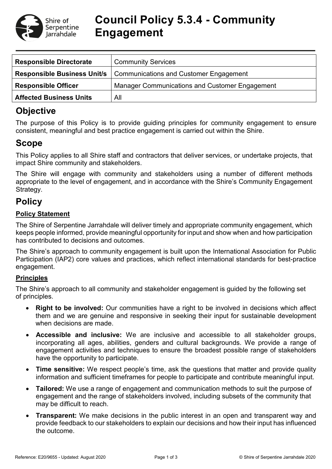

# **Council Policy 5.3.4 - Community Engagement**

| <b>Community Services</b>                                                           |  |  |
|-------------------------------------------------------------------------------------|--|--|
| <b>Communications and Customer Engagement</b><br><b>Responsible Business Unit/s</b> |  |  |
| <b>Manager Communications and Customer Engagement</b>                               |  |  |
| All                                                                                 |  |  |
|                                                                                     |  |  |

# **Objective**

The purpose of this Policy is to provide guiding principles for community engagement to ensure consistent, meaningful and best practice engagement is carried out within the Shire.

# **Scope**

This Policy applies to all Shire staff and contractors that deliver services, or undertake projects, that impact Shire community and stakeholders.

The Shire will engage with community and stakeholders using a number of different methods appropriate to the level of engagement, and in accordance with the Shire's Community Engagement Strategy.

# **Policy**

### **Policy Statement**

The Shire of Serpentine Jarrahdale will deliver timely and appropriate community engagement, which keeps people informed, provide meaningful opportunity for input and show when and how participation has contributed to decisions and outcomes.

The Shire's approach to community engagement is built upon the International Association for Public Participation (IAP2) core values and practices, which reflect international standards for best-practice engagement.

### **Principles**

The Shire's approach to all community and stakeholder engagement is guided by the following set of principles.

- **Right to be involved:** Our communities have a right to be involved in decisions which affect them and we are genuine and responsive in seeking their input for sustainable development when decisions are made.
- **Accessible and inclusive:** We are inclusive and accessible to all stakeholder groups, incorporating all ages, abilities, genders and cultural backgrounds. We provide a range of engagement activities and techniques to ensure the broadest possible range of stakeholders have the opportunity to participate.
- **Time sensitive:** We respect people's time, ask the questions that matter and provide quality information and sufficient timeframes for people to participate and contribute meaningful input.
- **Tailored:** We use a range of engagement and communication methods to suit the purpose of engagement and the range of stakeholders involved, including subsets of the community that may be difficult to reach.
- **Transparent:** We make decisions in the public interest in an open and transparent way and provide feedback to our stakeholders to explain our decisions and how their input has influenced the outcome.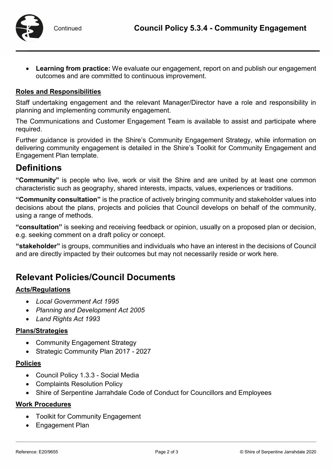

• **Learning from practice:** We evaluate our engagement, report on and publish our engagement outcomes and are committed to continuous improvement.

### **Roles and Responsibilities**

Staff undertaking engagement and the relevant Manager/Director have a role and responsibility in planning and implementing community engagement.

The Communications and Customer Engagement Team is available to assist and participate where required.

Further guidance is provided in the Shire's Community Engagement Strategy, while information on delivering community engagement is detailed in the Shire's Toolkit for Community Engagement and Engagement Plan template.

### **Definitions**

**"Community"** is people who live, work or visit the Shire and are united by at least one common characteristic such as geography, shared interests, impacts, values, experiences or traditions.

**"Community consultation"** is the practice of actively bringing community and stakeholder values into decisions about the plans, projects and policies that Council develops on behalf of the community, using a range of methods.

**"consultation"** is seeking and receiving feedback or opinion, usually on a proposed plan or decision, e.g. seeking comment on a draft policy or concept.

**"stakeholder"** is groups, communities and individuals who have an interest in the decisions of Council and are directly impacted by their outcomes but may not necessarily reside or work here.

### **Relevant Policies/Council Documents**

### **Acts/Regulations**

- *Local Government Act 1995*
- *Planning and Development Act 2005*
- *Land Rights Act 1993*

### **Plans/Strategies**

- Community Engagement Strategy
- Strategic Community Plan 2017 2027

#### **Policies**

- Council Policy 1.3.3 Social Media
- Complaints Resolution Policy
- Shire of Serpentine Jarrahdale Code of Conduct for Councillors and Employees

### **Work Procedures**

- Toolkit for Community Engagement
- Engagement Plan